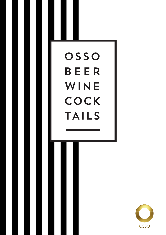# OSSO **BEER** WINE COCK **TAILS**

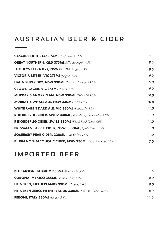# AUSTRALIAN BEER & CIDER

| <b>CASCADE LIGHT, TAS 375ML</b> <i>(Light Beer)</i> 2.6%           | 8.0  |
|--------------------------------------------------------------------|------|
| <b>GREAT NORTHERN, QLD 375ML</b> <i>Mid-Strength</i> ) 3.5%        | 9.0  |
| TOOHEYS EXTRA DRY, NSW 330ML (Lager) 4.4%                          | 9.0  |
| <b>VICTORIA BITTER, VIC 375ML</b> (Lager) 4.9%                     | 9.0  |
| HAHN SUPER DRY, NSW 330ML (Low Carb Lager) 4.6%                    | 9.0  |
| <b>CROWN LAGER, VIC 375ML</b> (Lager) 4.9%                         | 9.0  |
| <b>MURRAY'S ANGRY MAN, NSW 330ML</b> Pale Ale) 4.8%                | 10.0 |
| <b>MURRAY'S WHALE ALE, NSW 330ML</b> (Ale) 4.5%                    | 10.0 |
| WHITE RABBIT DARK ALE, VIC 330ML (Dark Ale) 4/9%                   | 11.0 |
| REKORDERLIG CIDER, SWITZ 330ML (Strawberry Lime Cider) 4.0%        | 11.0 |
| REKORDERLIG CIDER, SWITZ 330ML (Blush Rosé Cider) 4.0%             | 11.0 |
| <b>PRESSMANS APPLE CIDER, NSW 5330ML</b> (Apple Cider) 4.5%        | 11.0 |
| <b>SOMERSBY PEAR CIDER, 330ML</b> (Pear Cider) 4.5%                | 11.0 |
| <b>BILPIN NON-ALCOHOLIC CIDER, NSW 330ML</b> (Non-Alcoholic Cider) | 7.0  |

## IMPORTED BEER

<u> The Communication</u>

| <b>BLUE MOON, BELGIUM 330ML</b> (White Ale) 5.4%              | 11.5 |
|---------------------------------------------------------------|------|
| <b>CORONA, MEXICO 355ML</b> (Summer Ale) 4.6%                 | 10.0 |
| <b>HEINEKEN, NETHERLANDS 330ML</b> $\text{Lager}$ ) 5.0%      | 10.0 |
| <b>HEINEKEN ZERO, NETHERLANDS 330ML</b> (Non-Alcoholic Lager) | 8.0  |
| <b>PERONI, ITALY 330ML</b> $(Lager) 5.1\%$                    | 11.0 |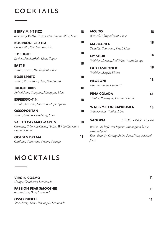# COCKTAILS

| <b>BERRY MINT FIZZ</b><br>Raspberry Vodka, Watermelon Liquor, Mint, Lime                          | 18 | <b>MOJITO</b><br>Bacardi, Clapped Mint, Lime                                                                 | 18 |
|---------------------------------------------------------------------------------------------------|----|--------------------------------------------------------------------------------------------------------------|----|
| <b>BOURBON ICED TEA</b><br>Limoncello, Bourbon, Iced Tea                                          | 18 | <b>MARGARITA</b><br>Tequila, Cointreau, Fresh Lime                                                           | 18 |
| <b>T-DELIGHT</b><br>Lychee, Passionfruit, Lime, Sugar                                             | 18 | <b>NY SOUR</b><br>Whiskey, Lemon, Red Wine *contains egg                                                     | 18 |
| <b>EAST 8</b><br>Vodka, Aperol, Passionfruit, Lime                                                | 18 | <b>OLD FASHIONED</b><br>Whiskey, Sugar, Bitters                                                              | 18 |
| <b>ROSE SPRITZ</b><br>Vodka, Prosecco, Lychee, Rose Syrup                                         | 18 | <b>NEGRONI</b>                                                                                               | 18 |
| <b>JUNGLE BIRD</b><br>Spiced Rum, Campari, Pineapple, Lime                                        | 18 | Gin, Vermouth, Campari<br><b>PINA COLADA</b>                                                                 | 18 |
| <b>ESPRESSO-TINI</b><br>Vanilla, Licor 43, Espresso, Maple Syrup                                  | 18 | Malibu, Pineapple, Coconut Cream<br><b>WATERMELON CAPRIOSKA</b>                                              |    |
| <b>OSSOPOLITAN</b><br>Vodka, Mango, Cranberry, Lime                                               | 18 | Watermelon, Vodka, Lime                                                                                      | 18 |
| <b>SALTED CARAMEL MARTINI</b><br>Caramel, Crème de Cacao, Vodka, White Chocolate<br>Liquor, Cream | 18 | $500ML - 24 / 1L - 44$<br><b>SANGRIA</b><br>White - Elderflower liqueur, sauvingnon blanc,<br>seasonal fruit |    |
| <b>GOLDEN DREAM</b><br>Galliano, Cointreau, Cream, Orange                                         | 18 | Red - Brandy, Orange Juice, Pinot Noir, seasonal<br>fruits                                                   |    |

## MOCKTAILS

| <b>VIRGIN COSMO</b><br>Mango, Cranberry, Lemonade            | 11 |
|--------------------------------------------------------------|----|
| <b>PASSION PEAR SMOOTHIE</b><br>passionfruit, Pear, Lemonade | 11 |
| <b>OSSO PUNCH</b><br>Strawberry, Lime, Pineapple, Lemonade   | 11 |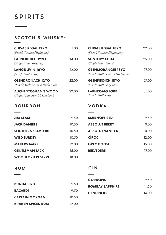## SPIRITS

<u> Tanzania (</u>

## SCOTCH & WHISKEY

| <b>CHIVAS REGAL 12YO</b><br>(Blend, Scottish Highlands)        | 11 QQ | <b>CHIVAS REGAL 18YO</b><br>(Blend, Scottish Highlands)       |
|----------------------------------------------------------------|-------|---------------------------------------------------------------|
| <b>GLENFIDDICH 12YO</b><br>(Single Malt, Speyside)             | 14.00 | <b>SUNTORY CHITA</b><br>(Single Malt, Japan)                  |
| <b>LANGULIVIN 16YO</b><br>$(Single$ <i>Malt, Islay</i> )       | 22.00 | <b>GLENMORANGIE 18YO</b><br>(Single Malt, Scottish Highlands) |
| <b>GLENDRONACH 12YO</b><br>(Single Malt, Scottish Highlands)   | 22.00 | <b>GLENFIDDICH 18YO</b><br>(Single Malt, Speyside)            |
| <b>AUCHENTOSHAN 3 WOOD</b><br>(Single Malt, Scottish Lowlands) | 22.00 | <b>LAPHROAIG LORE</b><br>(Single Malt, Islay)                 |

#### BOURBON

| <b>JIM BEAM</b>         | 9.50  | <b>SMIRNOFF RED</b>    | 9.50  |
|-------------------------|-------|------------------------|-------|
| <b>JACK DANIELS</b>     | 10.50 | <b>ABSOLUT BERRY</b>   | 10.00 |
| <b>SOUTHERN COMFORT</b> | 10.50 | <b>ABSOLUT VANILLA</b> | 10.00 |
| <b>WILD TURKEY</b>      | 10.50 | <b>CIROC</b>           | 12.00 |
| <b>MAKERS MARK</b>      | 12.00 | <b>GREY GOOSE</b>      | 15.00 |
| <b>GENTLEMAN JACK</b>   | 15.00 | <b>BELVEDERE</b>       | 17.00 |
| <b>WOODFORD RESERVE</b> | 18.00 |                        |       |

#### RUM

#### GIN

VODKA

| <b>BUNDABERG</b>         | 9.50  |
|--------------------------|-------|
| <b>BACARDI</b>           | 9.50  |
| <b>CAPTAIN MORGAN</b>    | 10.50 |
| <b>KRAKEN SPICED RUM</b> | 12.00 |

| <b>GORDONS</b>         | 9.50  |
|------------------------|-------|
| <b>BOMBAY SAPPHIRE</b> | 11.50 |
| <b>HENDRICKS</b>       | 14 OO |

22.00

SUNTORY CHITA25.00

27.00

27.00

31.00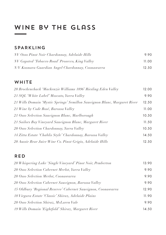# WINE BY THE GLASS

#### SPARKLING

| NV Osso Pinot Noir Chardonnay, Adelaide Hills     | 9.90  |
|---------------------------------------------------|-------|
| NV Gapsted 'Tobacco Road' Prosecco, King Valley   | 11.00 |
| N/V Koonara Guardian Angel Chardonnay, Coonawarra | 12.50 |

#### **WHITE**

| 20 Brockenchack 'Mackenzie Williams 1896' Riesling Eden Valley            | 12.00 |
|---------------------------------------------------------------------------|-------|
| 21 SQL 'White Label' Moscato, Yarra Valley                                | 9.90  |
| 21 Wills Domain 'Mystic Springs' Semillon Sauvignon Blanc, Margaret River | 12.50 |
| 21 Wine by Code Rosé, Barossa Valley                                      | 11.00 |
| 21 Osso Selection Sauvignon Blanc, Marlborough                            | 10.50 |
| 21 Sailors Bay Vineyard Sauvignon Blanc, Margaret River                   | 11.50 |
| 20 Osso Selection Chardonnay, Yarra Valley                                | 10.50 |
| 14 Zitta Estate 'Chablis Style' Chardonnay, Barossa Valley                | 14.50 |
| 20 Aussie Bear Juice Wine Co. Pinot Grigio, Adelaide Hills                | 12.50 |

## RED

| 20 Whispering Lake 'Single Vineyard' Pinot Noir, Pemberton   | 13.90 |
|--------------------------------------------------------------|-------|
| 20 Osso Selection Cabernet Merlot, Yarra Valley              | 9.90  |
| 20 Osso Selection Merlot, Coonawarra                         | 9.90  |
| 20 Osso Selection Cabernet Sauvignon, Barossa Valley         | 9.90  |
| 15 Oldbury 'Regional Reserve' Cabernet Sauvignon, Coonawarra | 12.90 |
| 18 Virgara Estate 'Classic' Shiraz, Adelaide Plains          | 11.90 |
| 20 Osso Selection Shiraz, McLaren Vale                       | 9.90  |
| 19 Wills Domain 'Eightfold' Shiraz, Margaret River           | 14.50 |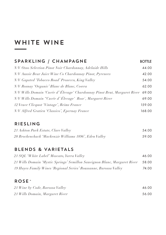# WHITE WINE

## SPARKLING / CHAMPAGNE BOTTLE

| N/V Osso Selection Pinot Noir Chardonnay, Adelaide Hills                        | 44.00  |
|---------------------------------------------------------------------------------|--------|
| N/V Aussie Bear Juice Wine Co Chardonnay Pinot, Pyrenees                        | 42.00  |
| N/V Gapsted 'Tobacco Road' Prosecco, King Valley                                | 54.00  |
| N/V Rosnay 'Organic' Blanc de Blanc, Cowra                                      | 62.00  |
| N/V Wills Domain 'Cuvée d' Élevage' Chardonnay Pinot Brut, Margaret River 69.00 |        |
| N/V Wills Domain "Cuvée d'Élevage' Rose`, Margaret River                        | 69.00  |
| 12 Veuve Clicquot 'Vintage', Reims France                                       | 159.00 |
| N/V Alfred Gratien 'Classico', Epernay France                                   | 168.00 |

#### RIESLING

| 21 Ashton Park Estate, Clare Valley                    | 54.00 |
|--------------------------------------------------------|-------|
| 20 Brockenchack 'Mackenzie Williams 1896', Eden Valley | 59.00 |

## BLENDS & VARIETALS

| 21 SQL 'White Label' Moscato, Yarra Valley                                | 46.00 |
|---------------------------------------------------------------------------|-------|
| 21 Wills Domain 'Mystic Springs' Semillon Sauvignon Blanc, Margaret River | 58.00 |
| 19 Hayes Family Wines 'Regional Series' Roussanne, Barossa Valley         | 74.00 |

#### ROSE`

| 21 Wine by Code, Barossa Valley | 46.00 |
|---------------------------------|-------|
| 21 Wills Domain, Margaret River | 56.00 |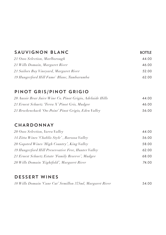| SAUVIGNON BLANC                            | <b>BOTTLE</b> |
|--------------------------------------------|---------------|
| 21 Osso Selection, Marlborough             | 44.00         |
| 21 Wills Domain, Margaret River            | 46.00         |
| 21 Sailors Bay Vineyard, Margaret River    | 52.00         |
| 19 Hungerford Hill Fume' Blanc, Tumbarumba | 62.00         |

## PINOT GRIS/PINOT GRIGIO

| 20 Aussie Bear Juice Wine Co. Pinot Grigio, Adelaide Hills | 44.00 |
|------------------------------------------------------------|-------|
| 21 Ernest Schuetz 'Terra X' Pinot Gris, Mudgee             | 46.00 |
| 21 Brockenchack 'On-Point' Pinot Grigio, Eden Valley       | 56.00 |

## CHARDONNAY

| 14 Zitta Wines 'Chablis Style', Barossa Valley      | 56.00 |
|-----------------------------------------------------|-------|
| 20 Gapsted Wines High Country', King Valley         | 58.00 |
| 19 Hungerford Hill Preservative Free, Hunter Valley | 62.00 |
| 21 Ernest Schuetz Estate 'Family Reserve', Mudgee   | 68.00 |
| 20 Wills Domain 'Eightfold', Margaret River         | 74.00 |

## DESSERT WINES

| 18 Wills Domain 'Cane Cut' Semillon 375ml, Margaret River | 54.00 |
|-----------------------------------------------------------|-------|
|-----------------------------------------------------------|-------|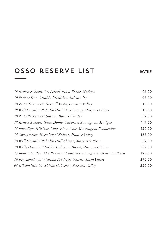# OSSO RESERVE LIST BOTTLE

| 16 Ernest Schuetz 'St. Isabel' Pinot Blanc, Mudgee                | 96.00  |
|-------------------------------------------------------------------|--------|
| 19 Podere Don Cataldo Primitivo, Salento Ity                      | 98.00  |
| 18 Zitta 'Greenock' Nero d'Avola, Barossa Valley                  | 110.00 |
| 19 Will Domain 'Paladin Hill' Chardonnay, Margaret River          | 110.00 |
| 10 Zitta 'Greenock' Shiraz, Barossa Valley                        | 139.00 |
| 13 Ernest Schuetz 'Paso Doble' Cabernet Sauvignon, Mudgee         | 149.00 |
| 18 Paradigm Hill 'Les Cinq' Pinot Noir, Mornington Peninsular     | 159.00 |
| 14 Sweetwater 'Hermitage' Shiraz, Hunter Valley                   | 165.00 |
| 18 Will Domain 'Paladin Hill' Shiraz, Margaret River              | 179.00 |
| 18 Wills Domain 'Matrix' Cabernet Blend, Margaret River           | 189.00 |
| 15 Robert Oatley 'The Pennant' Cabernet Sauvignon, Great Southern | 198.00 |
| 16 Brockenchack 'William Fredrick' Shiraz, Eden Valley            | 290.00 |
| 08 Gibson 'Bin 60' Shiraz Cabernet, Barossa Valley                | 550.00 |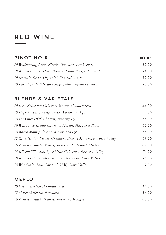# Red Wine

| PINOT NOIR                                                     | <b>BOTTLE</b> |
|----------------------------------------------------------------|---------------|
| 20 Whispering Lake 'Single Vineyard' Pemberton                 | 62.00         |
| 19 Brockenchack 'Hare Hunter' Pinot Noir, Eden Valley          | 74.00         |
| 19 Domain Road 'Organic', Central Otago                        | 82.00         |
| 18 Paradigm Hill 'L'ami Sage', Mornington Peninsula            | 125.00        |
| BLENDS & VARIETALS                                             |               |
| 20 Osso Selection Cabernet Merlot, Coonawarra                  | 44.00         |
| 19 High Country Tempranillo, Victorian Alps                    | 54.00         |
| 18 Da Vinci DOC Chianti, Tuscany Ity                           | 56.00         |
| 19 Windance Estate Cabernet Merlot, Margaret River             | 56.00         |
| 18 Rocco Montipulicano, d'Abruzzo Ity                          | 56.00         |
| 17 Zitta 'Union Street' Grenache Shiraz Mataro, Barossa Valley | 59.00         |
| 16 Ernest Schuetz 'Family Reserve' Zinfandel, Mudgee           | 69.00         |
| 18 Gibson 'The Smithy' Shiraz Cabernet, Barossa Valley         | 74.00         |
| 19 Brockenchack 'Megan Jane' Grenache, Eden Valley             | 74.00         |

*18 Woodvale 'Soul Garden' GSM, Clare Valley* 89.00

#### MERLOT

| 20 Osso Selection, Coonawarra              | 44.00 |
|--------------------------------------------|-------|
| 12 Massoni Estate, Pyrenees                | 64.00 |
| 16 Ernest Schuetz 'Family Reserve', Mudgee | 68.00 |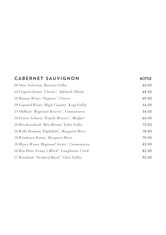| CABERNET SAUVIGNON                            | <b>BOTTLE</b> |
|-----------------------------------------------|---------------|
| 20 Osso Selection, Barossa Valley             | 44.00         |
| 18 Virgara Estate 'Classic', Adelaide Plains  | 48.00         |
| 18 Rosnay Wines 'Organic', Cowra              | 49.00         |
| 19 Gapsted Wines 'High Country' King Valley   | 54.00         |
| 15 Oldbury 'Regional Reserve', Coonawarra     | 54.00         |
| 18 Ernest Schuetz 'Family Reserve', Mudgee    | 66.00         |
| 18 Brockenchack 'Miss Bronte' Eden Valley     | 72.00         |
| 19 Wills Domain 'Eightfold', Margaret River   | 74.00         |
| 18 Windance Estate, Margaret River            | 79.00         |
| 18 Hayes Wines 'Regional Series', Coonawarra  | 82.00         |
| 18 Ben Potts 'Lenny's Block', Langhorne Creek | 82.00         |
| 17 Woodvale 'Orchard Road', Clare Valley      | 92.00         |